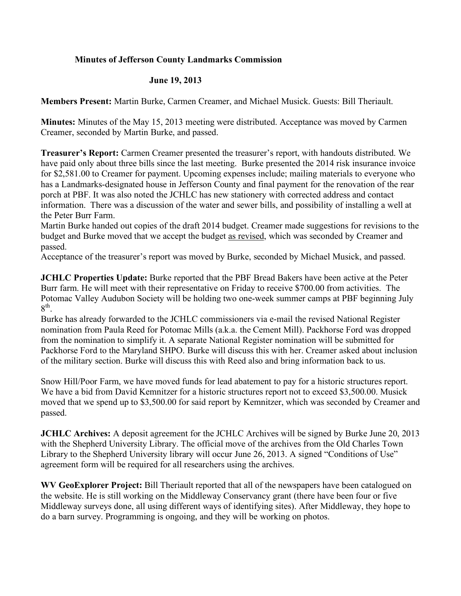## **Minutes of Jefferson County Landmarks Commission**

## **June 19, 2013**

**Members Present:** Martin Burke, Carmen Creamer, and Michael Musick. Guests: Bill Theriault.

**Minutes:** Minutes of the May 15, 2013 meeting were distributed. Acceptance was moved by Carmen Creamer, seconded by Martin Burke, and passed.

**Treasurer's Report:** Carmen Creamer presented the treasurer's report, with handouts distributed. We have paid only about three bills since the last meeting. Burke presented the 2014 risk insurance invoice for \$2,581.00 to Creamer for payment. Upcoming expenses include; mailing materials to everyone who has a Landmarks-designated house in Jefferson County and final payment for the renovation of the rear porch at PBF. It was also noted the JCHLC has new stationery with corrected address and contact information. There was a discussion of the water and sewer bills, and possibility of installing a well at the Peter Burr Farm.

Martin Burke handed out copies of the draft 2014 budget. Creamer made suggestions for revisions to the budget and Burke moved that we accept the budget as revised, which was seconded by Creamer and passed.

Acceptance of the treasurer's report was moved by Burke, seconded by Michael Musick, and passed.

**JCHLC Properties Update:** Burke reported that the PBF Bread Bakers have been active at the Peter Burr farm. He will meet with their representative on Friday to receive \$700.00 from activities. The Potomac Valley Audubon Society will be holding two one-week summer camps at PBF beginning July  $8<sup>th</sup>$ .

Burke has already forwarded to the JCHLC commissioners via e-mail the revised National Register nomination from Paula Reed for Potomac Mills (a.k.a. the Cement Mill). Packhorse Ford was dropped from the nomination to simplify it. A separate National Register nomination will be submitted for Packhorse Ford to the Maryland SHPO. Burke will discuss this with her. Creamer asked about inclusion of the military section. Burke will discuss this with Reed also and bring information back to us.

Snow Hill/Poor Farm, we have moved funds for lead abatement to pay for a historic structures report. We have a bid from David Kemnitzer for a historic structures report not to exceed \$3,500.00. Musick moved that we spend up to \$3,500.00 for said report by Kemnitzer, which was seconded by Creamer and passed.

**JCHLC Archives:** A deposit agreement for the JCHLC Archives will be signed by Burke June 20, 2013 with the Shepherd University Library. The official move of the archives from the Old Charles Town Library to the Shepherd University library will occur June 26, 2013. A signed "Conditions of Use" agreement form will be required for all researchers using the archives.

**WV GeoExplorer Project:** Bill Theriault reported that all of the newspapers have been catalogued on the website. He is still working on the Middleway Conservancy grant (there have been four or five Middleway surveys done, all using different ways of identifying sites). After Middleway, they hope to do a barn survey. Programming is ongoing, and they will be working on photos.